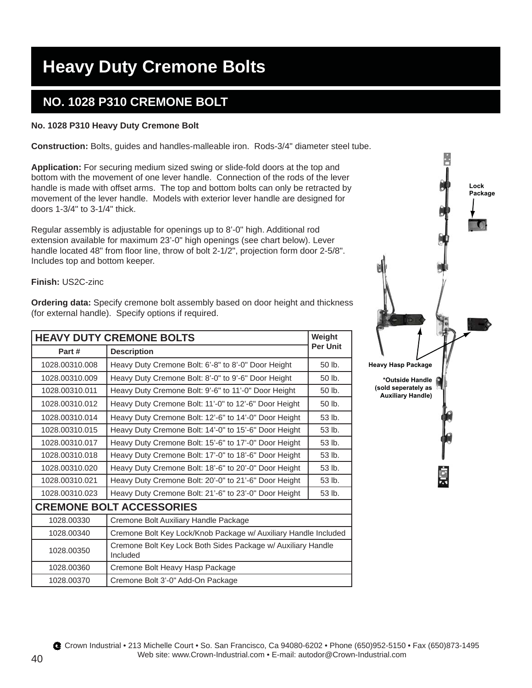# **Heavy Duty Cremone Bolts**

### **NO. 1028 P310 CREMONE BOLT**

### **No. 1028 P310 Heavy Duty Cremone Bolt**

**Construction:** Bolts, guides and handles-malleable iron. Rods-3/4" diameter steel tube.

**Application:** For securing medium sized swing or slide-fold doors at the top and bottom with the movement of one lever handle. Connection of the rods of the lever handle is made with offset arms. The top and bottom bolts can only be retracted by movement of the lever handle. Models with exterior lever handle are designed for doors 1-3/4" to 3-1/4" thick.

Regular assembly is adjustable for openings up to 8'-0" high. Additional rod extension available for maximum 23'-0" high openings (see chart below). Lever handle located 48" from floor line, throw of bolt 2-1/2", projection form door 2-5/8". Includes top and bottom keeper.

### **Finish:** US2C-zinc

**Ordering data:** Specify cremone bolt assembly based on door height and thickness (for external handle). Specify options if required.

| <b>HEAVY DUTY CREMONE BOLTS</b> |                                                                          |                 |  |
|---------------------------------|--------------------------------------------------------------------------|-----------------|--|
| Part#                           | <b>Description</b>                                                       | <b>Per Unit</b> |  |
| 1028.00310.008                  | Heavy Duty Cremone Bolt: 6'-8" to 8'-0" Door Height                      | $50$ lb.        |  |
| 1028.00310.009                  | Heavy Duty Cremone Bolt: 8'-0" to 9'-6" Door Height                      | 50 lb.          |  |
| 1028.00310.011                  | Heavy Duty Cremone Bolt: 9'-6" to 11'-0" Door Height                     | 50 lb.          |  |
| 1028.00310.012                  | Heavy Duty Cremone Bolt: 11'-0" to 12'-6" Door Height                    | 50 lb.          |  |
| 1028.00310.014                  | Heavy Duty Cremone Bolt: 12'-6" to 14'-0" Door Height                    | 53 lb.          |  |
| 1028.00310.015                  | Heavy Duty Cremone Bolt: 14'-0" to 15'-6" Door Height                    | 53 lb.          |  |
| 1028.00310.017                  | Heavy Duty Cremone Bolt: 15'-6" to 17'-0" Door Height                    | 53 lb.          |  |
| 1028.00310.018                  | Heavy Duty Cremone Bolt: 17'-0" to 18'-6" Door Height                    | 53 lb.          |  |
| 1028.00310.020                  | Heavy Duty Cremone Bolt: 18'-6" to 20'-0" Door Height                    | 53 lb.          |  |
| 1028.00310.021                  | Heavy Duty Cremone Bolt: 20'-0" to 21'-6" Door Height                    | 53 lb.          |  |
| 1028.00310.023                  | Heavy Duty Cremone Bolt: 21'-6" to 23'-0" Door Height                    | 53 lb.          |  |
| <b>CREMONE BOLT ACCESSORIES</b> |                                                                          |                 |  |
| 1028.00330                      | Cremone Bolt Auxiliary Handle Package                                    |                 |  |
| 1028.00340                      | Cremone Bolt Key Lock/Knob Package w/ Auxiliary Handle Included          |                 |  |
| 1028.00350                      | Cremone Bolt Key Lock Both Sides Package w/ Auxiliary Handle<br>Included |                 |  |
| 1028.00360                      | Cremone Bolt Heavy Hasp Package                                          |                 |  |
| 1028.00370                      | Cremone Bolt 3'-0" Add-On Package                                        |                 |  |